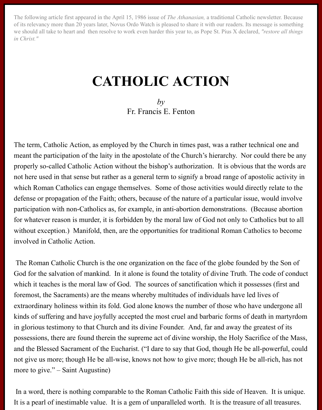The following article first appeared in the April 15, 1986 issue of *The Athanasian,* a traditional Catholic newsletter. Because of its relevancy more than 20 years later, Novus Ordo Watch is pleased to share it with our readers. Its message is something we should all take to heart and then resolve to work even harder this year to, as Pope St. Pius X declared, *"restore all things in Christ."*

## **CATHOLIC ACTION**

*by* Fr. Francis E. Fenton

The term, Catholic Action, as employed by the Church in times past, was a rather technical one and meant the participation of the laity in the apostolate of the Church's hierarchy. Nor could there be any properly so-called Catholic Action without the bishop's authorization. It is obvious that the words are not here used in that sense but rather as a general term to signify a broad range of apostolic activity in which Roman Catholics can engage themselves. Some of those activities would directly relate to the defense or propagation of the Faith; others, because of the nature of a particular issue, would involve participation with non-Catholics as, for example, in anti-abortion demonstrations. (Because abortion for whatever reason is murder, it is forbidden by the moral law of God not only to Catholics but to all without exception.) Manifold, then, are the opportunities for traditional Roman Catholics to become involved in Catholic Action.

 The Roman Catholic Church is the one organization on the face of the globe founded by the Son of God for the salvation of mankind. In it alone is found the totality of divine Truth. The code of conduct which it teaches is the moral law of God. The sources of sanctification which it possesses (first and foremost, the Sacraments) are the means whereby multitudes of individuals have led lives of extraordinary holiness within its fold. God alone knows the number of those who have undergone all kinds of suffering and have joyfully accepted the most cruel and barbaric forms of death in martyrdom in glorious testimony to that Church and its divine Founder. And, far and away the greatest of its possessions, there are found therein the supreme act of divine worship, the Holy Sacrifice of the Mass, and the Blessed Sacrament of the Eucharist. ("I dare to say that God, though He be all-powerful, could not give us more; though He be all-wise, knows not how to give more; though He be all-rich, has not more to give." – Saint Augustine)

 In a word, there is nothing comparable to the Roman Catholic Faith this side of Heaven. It is unique. It is a pearl of inestimable value. It is a gem of unparalleled worth. It is the treasure of all treasures.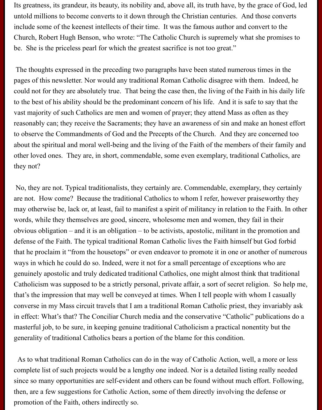Its greatness, its grandeur, its beauty, its nobility and, above all, its truth have, by the grace of God, led untold millions to become converts to it down through the Christian centuries. And those converts include some of the keenest intellects of their time. It was the famous author and convert to the Church, Robert Hugh Benson, who wrote: "The Catholic Church is supremely what she promises to be. She is the priceless pearl for which the greatest sacrifice is not too great."

 The thoughts expressed in the preceding two paragraphs have been stated numerous times in the pages of this newsletter. Nor would any traditional Roman Catholic disagree with them. Indeed, he could not for they are absolutely true. That being the case then, the living of the Faith in his daily life to the best of his ability should be the predominant concern of his life. And it is safe to say that the vast majority of such Catholics are men and women of prayer; they attend Mass as often as they reasonably can; they receive the Sacraments; they have an awareness of sin and make an honest effort to observe the Commandments of God and the Precepts of the Church. And they are concerned too about the spiritual and moral well-being and the living of the Faith of the members of their family and other loved ones. They are, in short, commendable, some even exemplary, traditional Catholics, are they not?

 No, they are not. Typical traditionalists, they certainly are. Commendable, exemplary, they certainly are not. How come? Because the traditional Catholics to whom I refer, however praiseworthy they may otherwise be, lack or, at least, fail to manifest a spirit of militancy in relation to the Faith. In other words, while they themselves are good, sincere, wholesome men and women, they fail in their obvious obligation – and it is an obligation – to be activists, apostolic, militant in the promotion and defense of the Faith. The typical traditional Roman Catholic lives the Faith himself but God forbid that he proclaim it "from the housetops" or even endeavor to promote it in one or another of numerous ways in which he could do so. Indeed, were it not for a small percentage of exceptions who are genuinely apostolic and truly dedicated traditional Catholics, one might almost think that traditional Catholicism was supposed to be a strictly personal, private affair, a sort of secret religion. So help me, that's the impression that may well be conveyed at times. When I tell people with whom I casually converse in my Mass circuit travels that I am a traditional Roman Catholic priest, they invariably ask in effect: What's that? The Conciliar Church media and the conservative "Catholic" publications do a masterful job, to be sure, in keeping genuine traditional Catholicism a practical nonentity but the generality of traditional Catholics bears a portion of the blame for this condition.

 As to what traditional Roman Catholics can do in the way of Catholic Action, well, a more or less complete list of such projects would be a lengthy one indeed. Nor is a detailed listing really needed since so many opportunities are self-evident and others can be found without much effort. Following, then, are a few suggestions for Catholic Action, some of them directly involving the defense or promotion of the Faith, others indirectly so.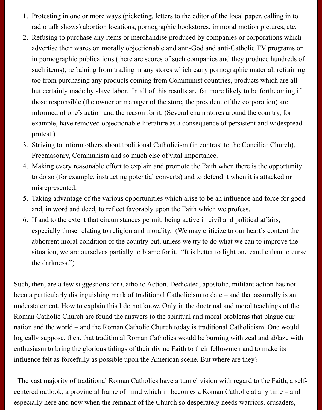- 1. Protesting in one or more ways (picketing, letters to the editor of the local paper, calling in to radio talk shows) abortion locations, pornographic bookstores, immoral motion pictures, etc.
- 2. Refusing to purchase any items or merchandise produced by companies or corporations which advertise their wares on morally objectionable and anti-God and anti-Catholic TV programs or in pornographic publications (there are scores of such companies and they produce hundreds of such items); refraining from trading in any stores which carry pornographic material; refraining too from purchasing any products coming from Communist countries, products which are all but certainly made by slave labor. In all of this results are far more likely to be forthcoming if those responsible (the owner or manager of the store, the president of the corporation) are informed of one's action and the reason for it. (Several chain stores around the country, for example, have removed objectionable literature as a consequence of persistent and widespread protest.)
- 3. Striving to inform others about traditional Catholicism (in contrast to the Conciliar Church), Freemasonry, Communism and so much else of vital importance.
- 4. Making every reasonable effort to explain and promote the Faith when there is the opportunity to do so (for example, instructing potential converts) and to defend it when it is attacked or misrepresented.
- 5. Taking advantage of the various opportunities which arise to be an influence and force for good and, in word and deed, to reflect favorably upon the Faith which we profess.
- 6. If and to the extent that circumstances permit, being active in civil and political affairs, especially those relating to religion and morality. (We may criticize to our heart's content the abhorrent moral condition of the country but, unless we try to do what we can to improve the situation, we are ourselves partially to blame for it. "It is better to light one candle than to curse the darkness.")

Such, then, are a few suggestions for Catholic Action. Dedicated, apostolic, militant action has not been a particularly distinguishing mark of traditional Catholicism to date – and that assuredly is an understatement. How to explain this I do not know. Only in the doctrinal and moral teachings of the Roman Catholic Church are found the answers to the spiritual and moral problems that plague our nation and the world – and the Roman Catholic Church today is traditional Catholicism. One would logically suppose, then, that traditional Roman Catholics would be burning with zeal and ablaze with enthusiasm to bring the glorious tidings of their divine Faith to their fellowmen and to make its influence felt as forcefully as possible upon the American scene. But where are they?

 The vast majority of traditional Roman Catholics have a tunnel vision with regard to the Faith, a selfcentered outlook, a provincial frame of mind which ill becomes a Roman Catholic at any time – and especially here and now when the remnant of the Church so desperately needs warriors, crusaders,